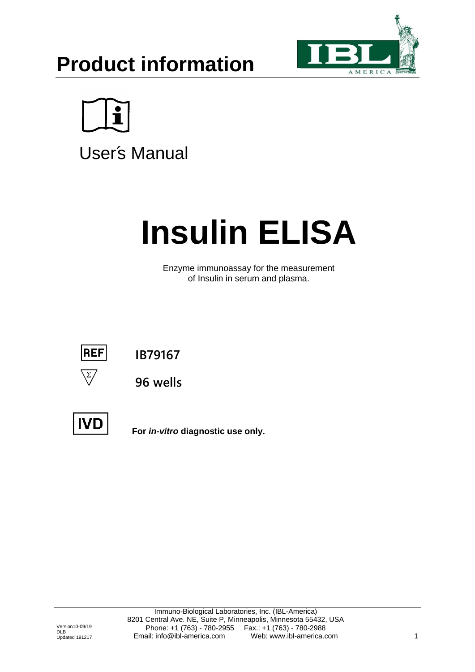# **Product information**





User's Manual

# **Insulin ELISA**

Enzyme immunoassay for the measurement of Insulin in serum and plasma.



**IB79167**



**96 wells**



**For** *in-vitro* **diagnostic use only.**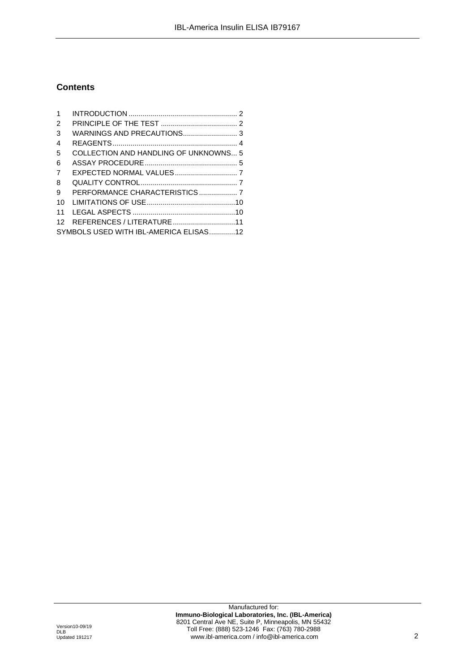# **Contents**

| 1              |                                        |  |
|----------------|----------------------------------------|--|
| 2              |                                        |  |
| 3              |                                        |  |
| 4              |                                        |  |
| 5              | COLLECTION AND HANDLING OF UNKNOWNS 5  |  |
| 6              |                                        |  |
| $\overline{7}$ |                                        |  |
| 8              |                                        |  |
| 9              | PERFORMANCE CHARACTERISTICS 7          |  |
| 10             |                                        |  |
| 11             |                                        |  |
| 12             | REFERENCES / LITERATURE11              |  |
|                | SYMBOLS USED WITH IBL-AMERICA ELISAS12 |  |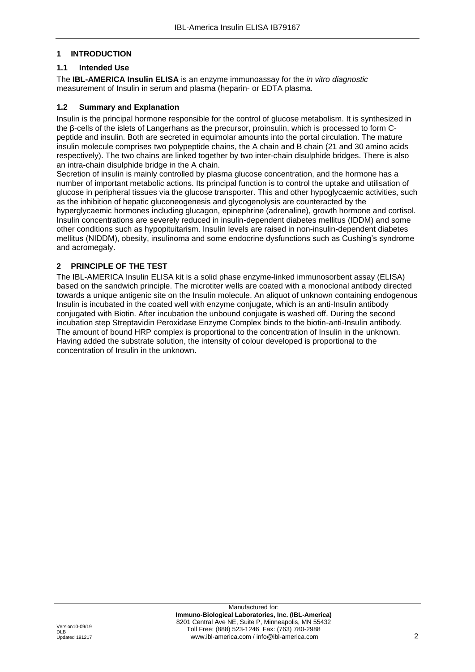#### <span id="page-2-0"></span>**1 INTRODUCTION**

# **1.1 Intended Use**

The **IBL-AMERICA Insulin ELISA** is an enzyme immunoassay for the *in vitro diagnostic*  measurement of Insulin in serum and plasma (heparin- or EDTA plasma.

#### **1.2 Summary and Explanation**

Insulin is the principal hormone responsible for the control of glucose metabolism. It is synthesized in the β-cells of the islets of Langerhans as the precursor, proinsulin, which is processed to form Cpeptide and insulin. Both are secreted in equimolar amounts into the portal circulation. The mature insulin molecule comprises two polypeptide chains, the A chain and B chain (21 and 30 amino acids respectively). The two chains are linked together by two inter-chain disulphide bridges. There is also an intra-chain disulphide bridge in the A chain.

Secretion of insulin is mainly controlled by plasma glucose concentration, and the hormone has a number of important metabolic actions. Its principal function is to control the uptake and utilisation of glucose in peripheral tissues via the glucose transporter. This and other hypoglycaemic activities, such as the inhibition of hepatic gluconeogenesis and glycogenolysis are counteracted by the hyperglycaemic hormones including glucagon, epinephrine (adrenaline), growth hormone and cortisol. Insulin concentrations are severely reduced in insulin-dependent diabetes mellitus (IDDM) and some other conditions such as hypopituitarism. Insulin levels are raised in non-insulin-dependent diabetes mellitus (NIDDM), obesity, insulinoma and some endocrine dysfunctions such as Cushing's syndrome and acromegaly.

# <span id="page-2-1"></span>**2 PRINCIPLE OF THE TEST**

The IBL-AMERICA Insulin ELISA kit is a solid phase enzyme-linked immunosorbent assay (ELISA) based on the sandwich principle. The microtiter wells are coated with a monoclonal antibody directed towards a unique antigenic site on the Insulin molecule. An aliquot of unknown containing endogenous Insulin is incubated in the coated well with enzyme conjugate, which is an anti-Insulin antibody conjugated with Biotin. After incubation the unbound conjugate is washed off. During the second incubation step Streptavidin Peroxidase Enzyme Complex binds to the biotin-anti-Insulin antibody. The amount of bound HRP complex is proportional to the concentration of Insulin in the unknown. Having added the substrate solution, the intensity of colour developed is proportional to the concentration of Insulin in the unknown.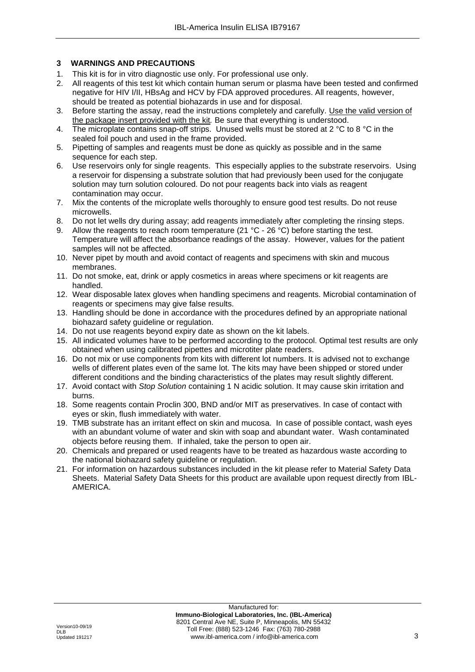# <span id="page-3-0"></span>**3 WARNINGS AND PRECAUTIONS**

- 1. This kit is for in vitro diagnostic use only. For professional use only.
- 2. All reagents of this test kit which contain human serum or plasma have been tested and confirmed negative for HIV I/II, HBsAg and HCV by FDA approved procedures. All reagents, however, should be treated as potential biohazards in use and for disposal.
- 3. Before starting the assay, read the instructions completely and carefully*.* Use the valid version of the package insert provided with the kit*.* Be sure that everything is understood.
- 4. The microplate contains snap-off strips. Unused wells must be stored at 2 °C to 8 °C in the sealed foil pouch and used in the frame provided.
- 5. Pipetting of samples and reagents must be done as quickly as possible and in the same sequence for each step.
- 6. Use reservoirs only for single reagents. This especially applies to the substrate reservoirs. Using a reservoir for dispensing a substrate solution that had previously been used for the conjugate solution may turn solution coloured. Do not pour reagents back into vials as reagent contamination may occur.
- 7. Mix the contents of the microplate wells thoroughly to ensure good test results. Do not reuse microwells.
- 8. Do not let wells dry during assay; add reagents immediately after completing the rinsing steps.
- 9. Allow the reagents to reach room temperature (21 °C 26 °C) before starting the test. Temperature will affect the absorbance readings of the assay. However, values for the patient samples will not be affected.
- 10. Never pipet by mouth and avoid contact of reagents and specimens with skin and mucous membranes.
- 11. Do not smoke, eat, drink or apply cosmetics in areas where specimens or kit reagents are handled.
- 12. Wear disposable latex gloves when handling specimens and reagents. Microbial contamination of reagents or specimens may give false results.
- 13. Handling should be done in accordance with the procedures defined by an appropriate national biohazard safety guideline or regulation.
- 14. Do not use reagents beyond expiry date as shown on the kit labels.
- 15. All indicated volumes have to be performed according to the protocol. Optimal test results are only obtained when using calibrated pipettes and microtiter plate readers.
- 16. Do not mix or use components from kits with different lot numbers. It is advised not to exchange wells of different plates even of the same lot. The kits may have been shipped or stored under different conditions and the binding characteristics of the plates may result slightly different.
- 17. Avoid contact with *Stop Solution* containing 1 N acidic solution. It may cause skin irritation and burns.
- 18. Some reagents contain Proclin 300, BND and/or MIT as preservatives. In case of contact with eyes or skin, flush immediately with water.
- 19. TMB substrate has an irritant effect on skin and mucosa. In case of possible contact, wash eyes with an abundant volume of water and skin with soap and abundant water. Wash contaminated objects before reusing them. If inhaled, take the person to open air.
- 20. Chemicals and prepared or used reagents have to be treated as hazardous waste according to the national biohazard safety guideline or regulation.
- 21. For information on hazardous substances included in the kit please refer to Material Safety Data Sheets. Material Safety Data Sheets for this product are available upon request directly from IBL-AMERICA.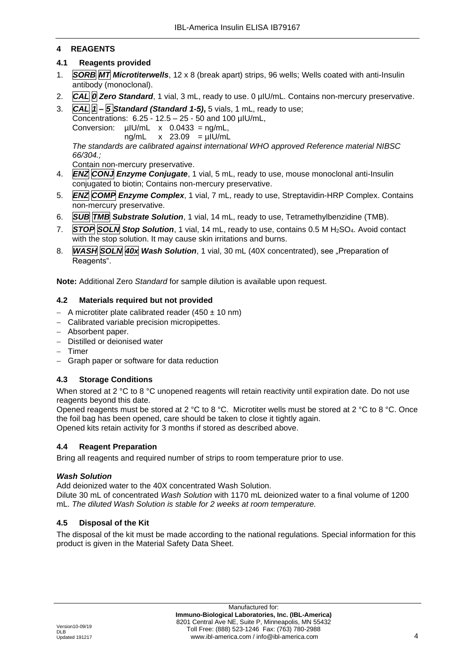# <span id="page-4-0"></span>**4 REAGENTS**

# **4.1 Reagents provided**

- 1. *SORB MT Microtiterwells*, 12 x 8 (break apart) strips, 96 wells; Wells coated with anti-Insulin antibody (monoclonal).
- 2. *CAL 0 Zero Standard*, 1 vial, 3 mL, ready to use. 0 µIU/mL. Contains non-mercury preservative.
- 3. *CAL 1 – 5 Standard (Standard 1-5)***,** 5 vials, 1 mL, ready to use;

Concentrations: 6.25 - 12.5 – 25 - 50 and 100 µIU/mL,

Conversion:  $u|U/mL \times 0.0433 = na/mL$ .

ng/mL  $\times$  23.09 = uIU/mL

*The standards are calibrated against international WHO approved Reference material NIBSC 66/304.;*

Contain non-mercury preservative.

- 4. *ENZ CONJ Enzyme Conjugate*, 1 vial, 5 mL, ready to use, mouse monoclonal anti-Insulin conjugated to biotin; Contains non-mercury preservative.
- 5. *ENZ COMP Enzyme Complex*, 1 vial, 7 mL, ready to use, Streptavidin-HRP Complex. Contains non-mercury preservative.
- 6. *SUB TMB Substrate Solution*, 1 vial, 14 mL, ready to use, Tetramethylbenzidine (TMB).
- 7. *STOP SOLN Stop Solution*, 1 vial, 14 mL, ready to use, contains 0.5 M H2SO4. Avoid contact with the stop solution. It may cause skin irritations and burns.
- 8. *WASH SOLN 40x Wash Solution*, 1 vial, 30 mL (40X concentrated), see "Preparation of Reagents".

**Note:** Additional Zero *Standard* for sample dilution is available upon request.

# **4.2 Materials required but not provided**

- − A microtiter plate calibrated reader (450 ± 10 nm)
- − Calibrated variable precision micropipettes.
- − Absorbent paper.
- − Distilled or deionised water
- − Timer
- − Graph paper or software for data reduction

# **4.3 Storage Conditions**

When stored at 2 °C to 8 °C unopened reagents will retain reactivity until expiration date. Do not use reagents beyond this date.

Opened reagents must be stored at 2 °C to 8 °C. Microtiter wells must be stored at 2 °C to 8 °C. Once the foil bag has been opened, care should be taken to close it tightly again. Opened kits retain activity for 3 months if stored as described above.

# **4.4 Reagent Preparation**

Bring all reagents and required number of strips to room temperature prior to use.

# *Wash Solution*

Add deionized water to the 40X concentrated Wash Solution.

Dilute 30 mL of concentrated *Wash Solution* with 1170 mL deionized water to a final volume of 1200 mL. *The diluted Wash Solution is stable for 2 weeks at room temperature.*

# **4.5 Disposal of the Kit**

The disposal of the kit must be made according to the national regulations. Special information for this product is given in the Material Safety Data Sheet.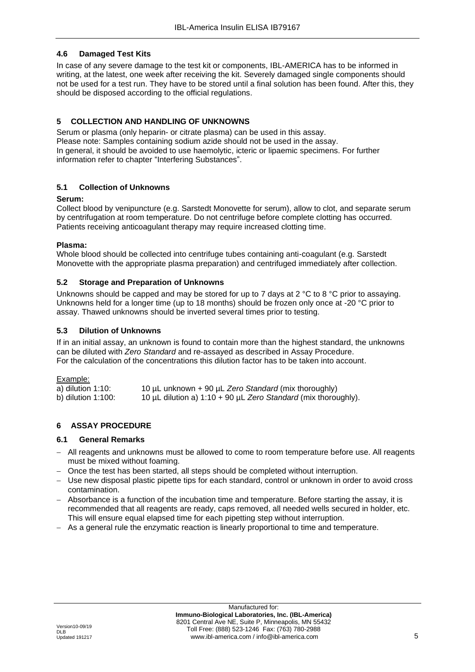# **4.6 Damaged Test Kits**

In case of any severe damage to the test kit or components, IBL-AMERICA has to be informed in writing, at the latest, one week after receiving the kit. Severely damaged single components should not be used for a test run. They have to be stored until a final solution has been found. After this, they should be disposed according to the official regulations.

# <span id="page-5-0"></span>**5 COLLECTION AND HANDLING OF UNKNOWNS**

Serum or plasma (only heparin- or citrate plasma) can be used in this assay. Please note: Samples containing sodium azide should not be used in the assay. In general, it should be avoided to use haemolytic, icteric or lipaemic specimens. For further information refer to chapter "Interfering Substances".

# **5.1 Collection of Unknowns**

#### **Serum:**

Collect blood by venipuncture (e.g. Sarstedt Monovette for serum), allow to clot, and separate serum by centrifugation at room temperature. Do not centrifuge before complete clotting has occurred. Patients receiving anticoagulant therapy may require increased clotting time.

#### **Plasma:**

Whole blood should be collected into centrifuge tubes containing anti-coagulant (e.g. Sarstedt Monovette with the appropriate plasma preparation) and centrifuged immediately after collection.

#### **5.2 Storage and Preparation of Unknowns**

Unknowns should be capped and may be stored for up to 7 days at 2 °C to 8 °C prior to assaying. Unknowns held for a longer time (up to 18 months) should be frozen only once at -20 °C prior to assay. Thawed unknowns should be inverted several times prior to testing.

#### **5.3 Dilution of Unknowns**

If in an initial assay, an unknown is found to contain more than the highest standard, the unknowns can be diluted with *Zero Standard* and re-assayed as described in Assay Procedure. For the calculation of the concentrations this dilution factor has to be taken into account.

#### Example:

<span id="page-5-1"></span>

| a) dilution $1:10$ :  | 10 µL unknown + 90 µL Zero Standard (mix thoroughly)                     |
|-----------------------|--------------------------------------------------------------------------|
| b) dilution $1:100$ : | 10 $\mu$ L dilution a) 1:10 + 90 $\mu$ L Zero Standard (mix thoroughly). |

#### **6 ASSAY PROCEDURE**

#### **6.1 General Remarks**

- − All reagents and unknowns must be allowed to come to room temperature before use. All reagents must be mixed without foaming.
- − Once the test has been started, all steps should be completed without interruption.
- − Use new disposal plastic pipette tips for each standard, control or unknown in order to avoid cross contamination.
- − Absorbance is a function of the incubation time and temperature. Before starting the assay, it is recommended that all reagents are ready, caps removed, all needed wells secured in holder, etc. This will ensure equal elapsed time for each pipetting step without interruption.
- − As a general rule the enzymatic reaction is linearly proportional to time and temperature.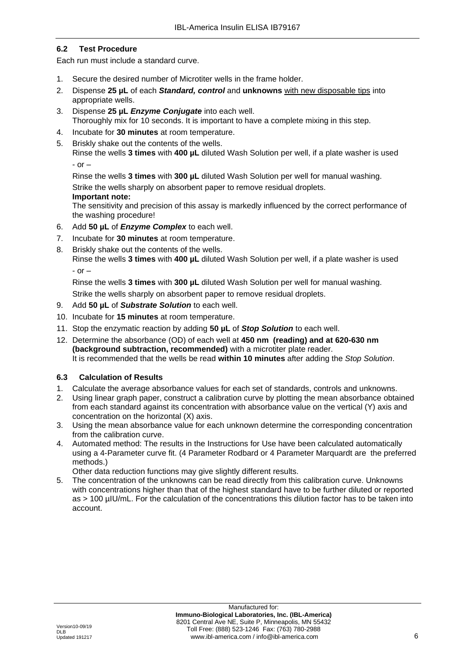# **6.2 Test Procedure**

Each run must include a standard curve.

- 1. Secure the desired number of Microtiter wells in the frame holder.
- 2. Dispense **25 µL** of each *Standard, control* and **unknowns** with new disposable tips into appropriate wells.
- 3. Dispense **25 µL** *Enzyme Conjugate* into each well. Thoroughly mix for 10 seconds. It is important to have a complete mixing in this step.
- 4. Incubate for **30 minutes** at room temperature.
- 5. Briskly shake out the contents of the wells. Rinse the wells **3 times** with **400 µL** diluted Wash Solution per well, if a plate washer is used

```
- or -
```
Rinse the wells **3 times** with **300 µL** diluted Wash Solution per well for manual washing. Strike the wells sharply on absorbent paper to remove residual droplets.

#### **Important note:**

The sensitivity and precision of this assay is markedly influenced by the correct performance of the washing procedure!

- 6. Add **50 µL** of *Enzyme Complex* to each well.
- 7. Incubate for **30 minutes** at room temperature.
- 8. Briskly shake out the contents of the wells.

Rinse the wells **3 times** with **400 µL** diluted Wash Solution per well, if a plate washer is used - or –

Rinse the wells **3 times** with **300 µL** diluted Wash Solution per well for manual washing.

Strike the wells sharply on absorbent paper to remove residual droplets.

- 9. Add **50 µL** of *Substrate Solution* to each well.
- 10. Incubate for **15 minutes** at room temperature.
- 11. Stop the enzymatic reaction by adding **50 µL** of *Stop Solution* to each well.
- 12. Determine the absorbance (OD) of each well at **450 nm (reading) and at 620-630 nm (background subtraction, recommended)** with a microtiter plate reader. It is recommended that the wells be read **within 10 minutes** after adding the *Stop Solution*.

# **6.3 Calculation of Results**

- 1. Calculate the average absorbance values for each set of standards, controls and unknowns.
- 2. Using linear graph paper, construct a calibration curve by plotting the mean absorbance obtained from each standard against its concentration with absorbance value on the vertical (Y) axis and concentration on the horizontal (X) axis.
- 3. Using the mean absorbance value for each unknown determine the corresponding concentration from the calibration curve.
- 4. Automated method: The results in the Instructions for Use have been calculated automatically using a 4-Parameter curve fit. (4 Parameter Rodbard or 4 Parameter Marquardt are the preferred methods.)

Other data reduction functions may give slightly different results.

5. The concentration of the unknowns can be read directly from this calibration curve. Unknowns with concentrations higher than that of the highest standard have to be further diluted or reported as > 100 µIU/mL. For the calculation of the concentrations this dilution factor has to be taken into account.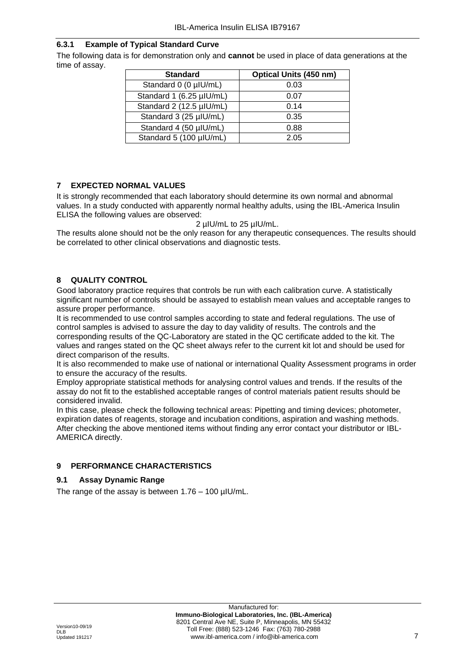# **6.3.1 Example of Typical Standard Curve**

The following data is for demonstration only and **cannot** be used in place of data generations at the time of assay.

| <b>Standard</b>          | <b>Optical Units (450 nm)</b> |
|--------------------------|-------------------------------|
| Standard 0 (0 µIU/mL)    | 0.03                          |
| Standard 1 (6.25 µIU/mL) | 0.07                          |
| Standard 2 (12.5 µIU/mL) | 0.14                          |
| Standard 3 (25 µIU/mL)   | 0.35                          |
| Standard 4 (50 µIU/mL)   | 0.88                          |
| Standard 5 (100 µIU/mL)  | 2.05                          |

# <span id="page-7-0"></span>**7 EXPECTED NORMAL VALUES**

It is strongly recommended that each laboratory should determine its own normal and abnormal values. In a study conducted with apparently normal healthy adults, using the IBL-America Insulin ELISA the following values are observed:

2 µIU/mL to 25 µIU/mL.

The results alone should not be the only reason for any therapeutic consequences. The results should be correlated to other clinical observations and diagnostic tests.

# <span id="page-7-1"></span>**8 QUALITY CONTROL**

Good laboratory practice requires that controls be run with each calibration curve. A statistically significant number of controls should be assayed to establish mean values and acceptable ranges to assure proper performance.

It is recommended to use control samples according to state and federal regulations. The use of control samples is advised to assure the day to day validity of results. The controls and the corresponding results of the QC-Laboratory are stated in the QC certificate added to the kit. The values and ranges stated on the QC sheet always refer to the current kit lot and should be used for direct comparison of the results.

It is also recommended to make use of national or international Quality Assessment programs in order to ensure the accuracy of the results.

Employ appropriate statistical methods for analysing control values and trends. If the results of the assay do not fit to the established acceptable ranges of control materials patient results should be considered invalid.

In this case, please check the following technical areas: Pipetting and timing devices; photometer, expiration dates of reagents, storage and incubation conditions, aspiration and washing methods. After checking the above mentioned items without finding any error contact your distributor or IBL-AMERICA directly.

# <span id="page-7-2"></span>**9 PERFORMANCE CHARACTERISTICS**

# **9.1 Assay Dynamic Range**

The range of the assay is between  $1.76 - 100$  µIU/mL.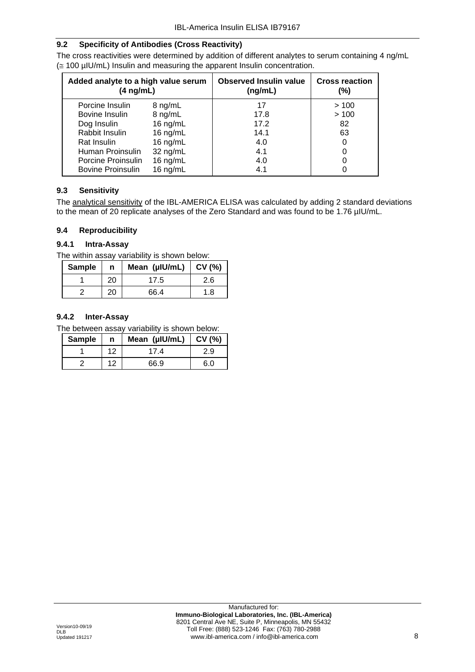# **9.2 Specificity of Antibodies (Cross Reactivity)**

The cross reactivities were determined by addition of different analytes to serum containing 4 ng/mL  $\approx$  100 µIU/mL) Insulin and measuring the apparent Insulin concentration.

| Added analyte to a high value serum<br>$(4 \nmid mL)$ |            | <b>Observed Insulin value</b><br>(nq/mL) | <b>Cross reaction</b><br>(%) |
|-------------------------------------------------------|------------|------------------------------------------|------------------------------|
| Porcine Insulin                                       | 8 ng/mL    | 17                                       | >100                         |
| Bovine Insulin                                        | 8 ng/mL    | 17.8                                     | >100                         |
| Dog Insulin                                           | $16$ ng/mL | 17.2                                     | 82                           |
| Rabbit Insulin                                        | 16 $ng/mL$ | 14.1                                     | 63                           |
| Rat Insulin                                           | 16 ng/mL   | 4.0                                      |                              |
| Human Proinsulin                                      | 32 ng/mL   | 4.1                                      |                              |
| Porcine Proinsulin                                    | 16 $ng/mL$ | 4.0                                      |                              |
| <b>Bovine Proinsulin</b>                              | 16 $ng/mL$ | 4.1                                      |                              |

# **9.3 Sensitivity**

The analytical sensitivity of the IBL-AMERICA ELISA was calculated by adding 2 standard deviations to the mean of 20 replicate analyses of the Zero Standard and was found to be 1.76 µIU/mL.

#### **9.4 Reproducibility**

# **9.4.1 Intra-Assay**

The within assay variability is shown below:

| <b>Sample</b> | n  | Mean (µIU/mL) | CV(%) |
|---------------|----|---------------|-------|
|               | 20 | 17.5          | 2.6   |
|               | 20 | 66.4          | 1.8   |

# **9.4.2 Inter-Assay**

The between assay variability is shown below:

| <b>Sample</b> | n  | Mean (µIU/mL) | $\mid$ CV (%) |
|---------------|----|---------------|---------------|
|               | 12 | 174           | 2.9           |
|               | 12 | 66.9          | 6.0           |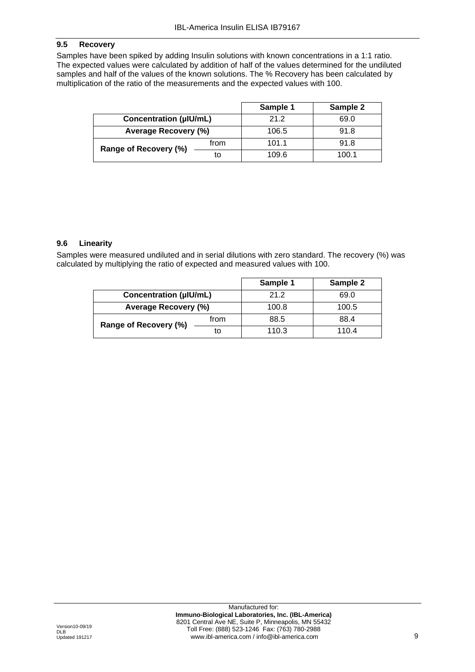# **9.5 Recovery**

Samples have been spiked by adding Insulin solutions with known concentrations in a 1:1 ratio. The expected values were calculated by addition of half of the values determined for the undiluted samples and half of the values of the known solutions. The % Recovery has been calculated by multiplication of the ratio of the measurements and the expected values with 100.

|                               |      | Sample 1 | Sample 2 |
|-------------------------------|------|----------|----------|
| <b>Concentration (µIU/mL)</b> |      | 21.2     | 69.0     |
| <b>Average Recovery (%)</b>   |      | 106.5    | 91.8     |
| Range of Recovery (%)         | from | 101.1    | 91.8     |
|                               | to   | 109.6    | 100.1    |

#### **9.6 Linearity**

Samples were measured undiluted and in serial dilutions with zero standard. The recovery (%) was calculated by multiplying the ratio of expected and measured values with 100.

|                               |      | Sample 1 | Sample 2 |
|-------------------------------|------|----------|----------|
| <b>Concentration (µIU/mL)</b> |      | 21.2     | 69.0     |
| <b>Average Recovery (%)</b>   |      | 100.8    | 100.5    |
| Range of Recovery (%)         | from | 88.5     | 88.4     |
|                               | to   | 110.3    | 110.4    |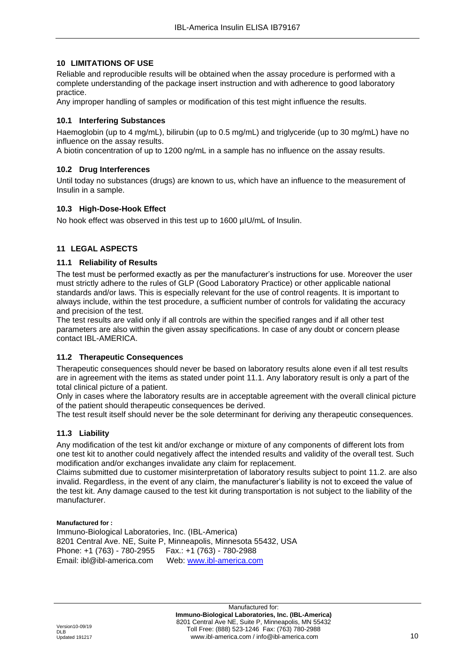#### <span id="page-10-0"></span>**10 LIMITATIONS OF USE**

Reliable and reproducible results will be obtained when the assay procedure is performed with a complete understanding of the package insert instruction and with adherence to good laboratory practice.

Any improper handling of samples or modification of this test might influence the results.

#### **10.1 Interfering Substances**

Haemoglobin (up to 4 mg/mL), bilirubin (up to 0.5 mg/mL) and triglyceride (up to 30 mg/mL) have no influence on the assay results.

A biotin concentration of up to 1200 ng/mL in a sample has no influence on the assay results.

#### **10.2 Drug Interferences**

Until today no substances (drugs) are known to us, which have an influence to the measurement of Insulin in a sample.

#### **10.3 High-Dose-Hook Effect**

<span id="page-10-1"></span>No hook effect was observed in this test up to 1600 µIU/mL of Insulin.

#### **11 LEGAL ASPECTS**

#### **11.1 Reliability of Results**

The test must be performed exactly as per the manufacturer's instructions for use. Moreover the user must strictly adhere to the rules of GLP (Good Laboratory Practice) or other applicable national standards and/or laws. This is especially relevant for the use of control reagents. It is important to always include, within the test procedure, a sufficient number of controls for validating the accuracy and precision of the test.

The test results are valid only if all controls are within the specified ranges and if all other test parameters are also within the given assay specifications. In case of any doubt or concern please contact IBL-AMERICA.

#### **11.2 Therapeutic Consequences**

Therapeutic consequences should never be based on laboratory results alone even if all test results are in agreement with the items as stated under point 11.1. Any laboratory result is only a part of the total clinical picture of a patient.

Only in cases where the laboratory results are in acceptable agreement with the overall clinical picture of the patient should therapeutic consequences be derived.

The test result itself should never be the sole determinant for deriving any therapeutic consequences.

#### **11.3 Liability**

Any modification of the test kit and/or exchange or mixture of any components of different lots from one test kit to another could negatively affect the intended results and validity of the overall test. Such modification and/or exchanges invalidate any claim for replacement.

Claims submitted due to customer misinterpretation of laboratory results subject to point 11.2. are also invalid. Regardless, in the event of any claim, the manufacturer's liability is not to exceed the value of the test kit. Any damage caused to the test kit during transportation is not subject to the liability of the manufacturer.

#### **Manufactured for :**

Immuno-Biological Laboratories, Inc. (IBL-America) 8201 Central Ave. NE, Suite P, Minneapolis, Minnesota 55432, USA Phone: +1 (763) - 780-2955 Fax.: +1 (763) - 780-2988 Email: ibl@ibl-america.com Web: [www.ibl-america.com](http://www.ibl-america.com/)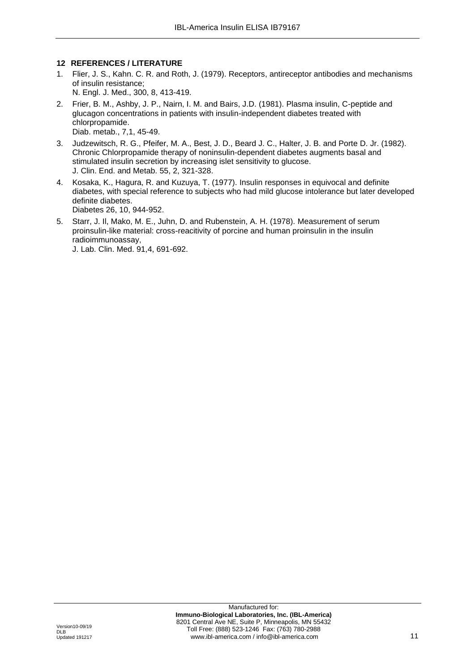#### <span id="page-11-0"></span>**12 REFERENCES / LITERATURE**

- 1. Flier, J. S., Kahn. C. R. and Roth, J. (1979). Receptors, antireceptor antibodies and mechanisms of insulin resistance; N. Engl. J. Med., 300, 8, 413-419.
- 2. Frier, B. M., Ashby, J. P., Nairn, I. M. and Bairs, J.D. (1981). Plasma insulin, C-peptide and glucagon concentrations in patients with insulin-independent diabetes treated with chlorpropamide. Diab. metab., 7,1, 45-49.
- 3. Judzewitsch, R. G., Pfeifer, M. A., Best, J. D., Beard J. C., Halter, J. B. and Porte D. Jr. (1982). Chronic Chlorpropamide therapy of noninsulin-dependent diabetes augments basal and stimulated insulin secretion by increasing islet sensitivity to glucose. J. Clin. End. and Metab. 55, 2, 321-328.
- 4. Kosaka, K., Hagura, R. and Kuzuya, T. (1977). Insulin responses in equivocal and definite diabetes, with special reference to subjects who had mild glucose intolerance but later developed definite diabetes. Diabetes 26, 10, 944-952.
- 5. Starr, J. Il, Mako, M. E., Juhn, D. and Rubenstein, A. H. (1978). Measurement of serum proinsulin-like material: cross-reacitivity of porcine and human proinsulin in the insulin radioimmunoassay,

J. Lab. Clin. Med. 91,4, 691-692.